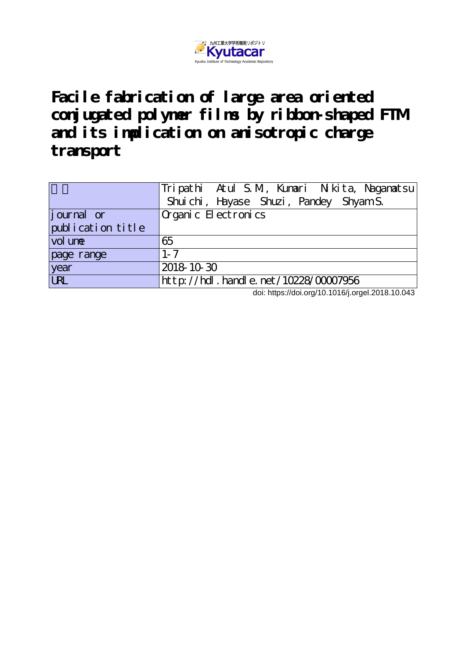

**Facile fabrication of large area oriented conjugated polymer films by ribbon-shaped FTM and its implication on anisotropic charge transport**

|                   | Tripathi Atul S.M., Kumari Nikita, Nagamatsu    |
|-------------------|-------------------------------------------------|
|                   | Shuichi, Hayase Shuzi, Pandey Shyam S.          |
| journal or        | $\alpha$ ganic $E$ ectronics                    |
| publication title |                                                 |
| vol une           | 65                                              |
| page range        | $1 - 7$                                         |
| year              | 2018 10 30                                      |
| <b>URL</b>        | $ht$ p: $//$ hdl. handle. net $/10228/00007956$ |

doi: https://doi.org/10.1016/j.orgel.2018.10.043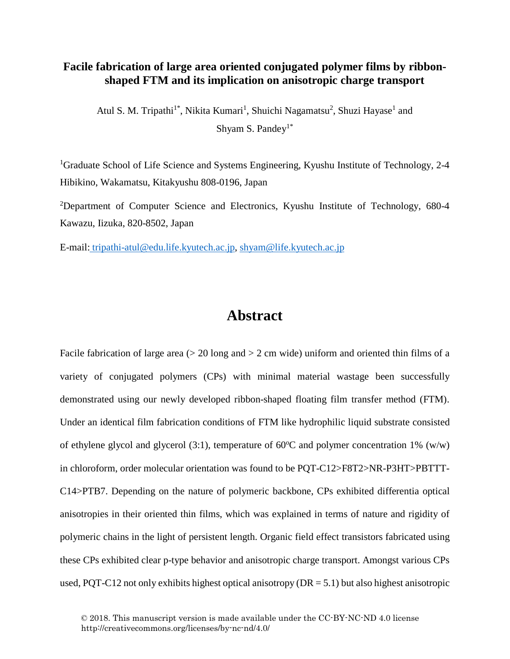## **Facile fabrication of large area oriented conjugated polymer films by ribbonshaped FTM and its implication on anisotropic charge transport**

Atul S. M. Tripathi<sup>1\*</sup>, Nikita Kumari<sup>1</sup>, Shuichi Nagamatsu<sup>2</sup>, Shuzi Hayase<sup>1</sup> and Shyam S. Pandey<sup>1\*</sup>

<sup>1</sup>Graduate School of Life Science and Systems Engineering, Kyushu Institute of Technology, 2-4 Hibikino, Wakamatsu, Kitakyushu 808-0196, Japan

<sup>2</sup>Department of Computer Science and Electronics, Kyushu Institute of Technology, 680-4 Kawazu, Iizuka, 820-8502, Japan

E-mail: [tripathi-atul@edu.life.kyutech.ac.jp,](mailto:tripathi-atul@edu.life.kyutech.ac.jp) [shyam@life.kyutech.ac.jp](mailto:shyam@life.kyutech.ac.jp)

## **Abstract**

Facile fabrication of large area ( $>$  20 long and  $>$  2 cm wide) uniform and oriented thin films of a variety of conjugated polymers (CPs) with minimal material wastage been successfully demonstrated using our newly developed ribbon-shaped floating film transfer method (FTM). Under an identical film fabrication conditions of FTM like hydrophilic liquid substrate consisted of ethylene glycol and glycerol (3:1), temperature of  $60^{\circ}$ C and polymer concentration 1% (w/w) in chloroform, order molecular orientation was found to be PQT-C12>F8T2>NR-P3HT>PBTTT-C14>PTB7. Depending on the nature of polymeric backbone, CPs exhibited differentia optical anisotropies in their oriented thin films, which was explained in terms of nature and rigidity of polymeric chains in the light of persistent length. Organic field effect transistors fabricated using these CPs exhibited clear p-type behavior and anisotropic charge transport. Amongst various CPs used, PQT-C12 not only exhibits highest optical anisotropy ( $DR = 5.1$ ) but also highest anisotropic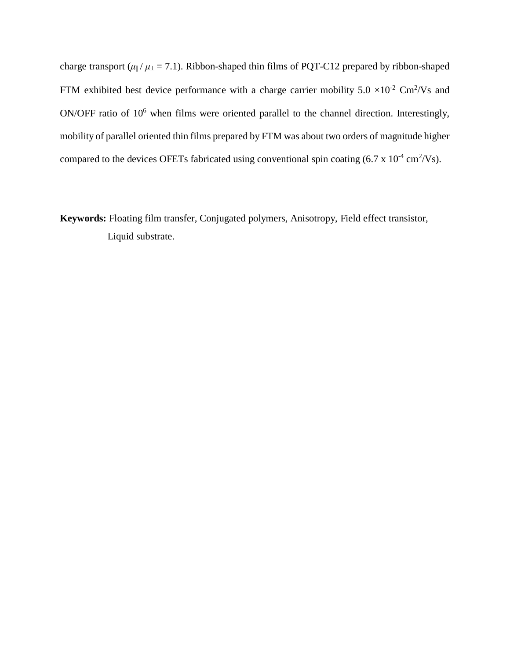charge transport ( $\mu$ <sub>||</sub> /  $\mu$ <sub>⊥</sub> = 7.1). Ribbon-shaped thin films of PQT-C12 prepared by ribbon-shaped FTM exhibited best device performance with a charge carrier mobility  $5.0 \times 10^{-2}$  Cm<sup>2</sup>/Vs and ON/OFF ratio of 10<sup>6</sup> when films were oriented parallel to the channel direction. Interestingly, mobility of parallel oriented thin films prepared by FTM was about two orders of magnitude higher compared to the devices OFETs fabricated using conventional spin coating  $(6.7 \times 10^{-4} \text{ cm}^2/\text{Vs})$ .

**Keywords:** Floating film transfer, Conjugated polymers, Anisotropy, Field effect transistor, Liquid substrate.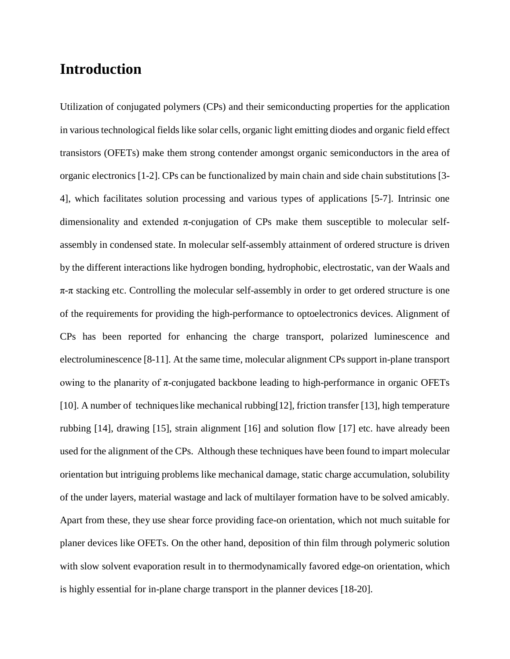# **Introduction**

Utilization of conjugated polymers (CPs) and their semiconducting properties for the application in various technological fields like solar cells, organic light emitting diodes and organic field effect transistors (OFETs) make them strong contender amongst organic semiconductors in the area of organic electronics [1-2]. CPs can be functionalized by main chain and side chain substitutions [3- 4], which facilitates solution processing and various types of applications [5-7]. Intrinsic one dimensionality and extended  $\pi$ -conjugation of CPs make them susceptible to molecular selfassembly in condensed state. In molecular self-assembly attainment of ordered structure is driven by the different interactions like hydrogen bonding, hydrophobic, electrostatic, van der Waals and  $\pi$ - $\pi$  stacking etc. Controlling the molecular self-assembly in order to get ordered structure is one of the requirements for providing the high-performance to optoelectronics devices. Alignment of CPs has been reported for enhancing the charge transport, polarized luminescence and electroluminescence [8-11]. At the same time, molecular alignment CPs support in-plane transport owing to the planarity of π-conjugated backbone leading to high-performance in organic OFETs [10]. A number of techniqueslike mechanical rubbing[12], friction transfer [13], high temperature rubbing [14], drawing [15], strain alignment [16] and solution flow [17] etc. have already been used for the alignment of the CPs. Although these techniques have been found to impart molecular orientation but intriguing problems like mechanical damage, static charge accumulation, solubility of the under layers, material wastage and lack of multilayer formation have to be solved amicably. Apart from these, they use shear force providing face-on orientation, which not much suitable for planer devices like OFETs. On the other hand, deposition of thin film through polymeric solution with slow solvent evaporation result in to thermodynamically favored edge-on orientation, which is highly essential for in-plane charge transport in the planner devices [18-20].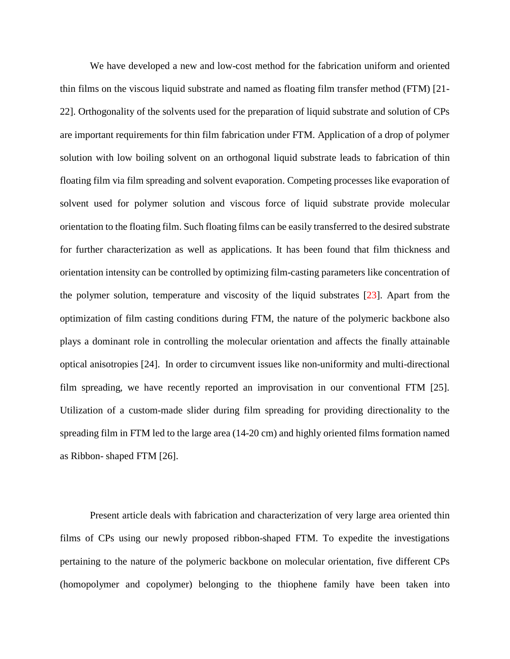We have developed a new and low-cost method for the fabrication uniform and oriented thin films on the viscous liquid substrate and named as floating film transfer method (FTM) [21- 22]. Orthogonality of the solvents used for the preparation of liquid substrate and solution of CPs are important requirements for thin film fabrication under FTM. Application of a drop of polymer solution with low boiling solvent on an orthogonal liquid substrate leads to fabrication of thin floating film via film spreading and solvent evaporation. Competing processes like evaporation of solvent used for polymer solution and viscous force of liquid substrate provide molecular orientation to the floating film. Such floating films can be easily transferred to the desired substrate for further characterization as well as applications. It has been found that film thickness and orientation intensity can be controlled by optimizing film-casting parameters like concentration of the polymer solution, temperature and viscosity of the liquid substrates [23]. Apart from the optimization of film casting conditions during FTM, the nature of the polymeric backbone also plays a dominant role in controlling the molecular orientation and affects the finally attainable optical anisotropies [24]. In order to circumvent issues like non-uniformity and multi-directional film spreading, we have recently reported an improvisation in our conventional FTM [25]. Utilization of a custom-made slider during film spreading for providing directionality to the spreading film in FTM led to the large area (14-20 cm) and highly oriented films formation named as Ribbon- shaped FTM [26].

Present article deals with fabrication and characterization of very large area oriented thin films of CPs using our newly proposed ribbon-shaped FTM. To expedite the investigations pertaining to the nature of the polymeric backbone on molecular orientation, five different CPs (homopolymer and copolymer) belonging to the thiophene family have been taken into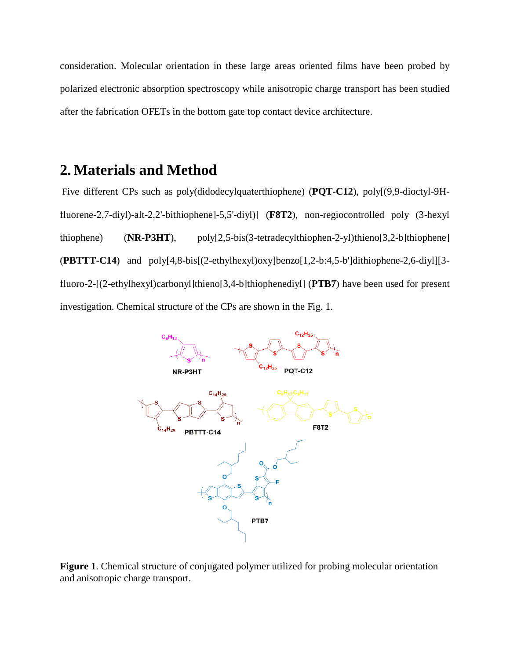consideration. Molecular orientation in these large areas oriented films have been probed by polarized electronic absorption spectroscopy while anisotropic charge transport has been studied after the fabrication OFETs in the bottom gate top contact device architecture.

# **2. Materials and Method**

Five different CPs such as poly(didodecylquaterthiophene) (**PQT-C12**), poly[(9,9-dioctyl-9Hfluorene-2,7-diyl)-alt-2,2'-bithiophene]-5,5'-diyl)] (**F8T2**), non-regiocontrolled poly (3-hexyl thiophene) (**NR-P3HT**), poly[2,5-bis(3-tetradecylthiophen-2-yl)thieno[3,2-b]thiophene] (**PBTTT-C14**) and poly[4,8-bis[(2-ethylhexyl)oxy]benzo[1,2-b:4,5-b']dithiophene-2,6-diyl][3 fluoro-2-[(2-ethylhexyl)carbonyl]thieno[3,4-b]thiophenediyl] (**PTB7**) have been used for present investigation. Chemical structure of the CPs are shown in the Fig. 1.



**Figure 1**. Chemical structure of conjugated polymer utilized for probing molecular orientation and anisotropic charge transport.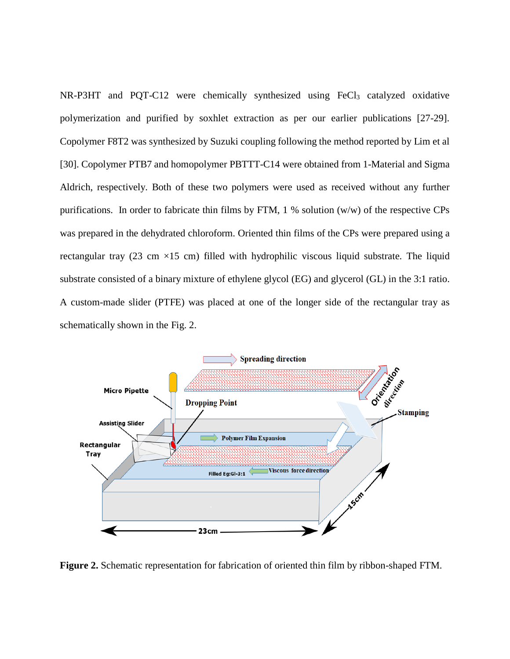$NR-P3HT$  and  $PQT-C12$  were chemically synthesized using  $FeCl<sub>3</sub>$  catalyzed oxidative polymerization and purified by soxhlet extraction as per our earlier publications [27-29]. Copolymer F8T2 was synthesized by Suzuki coupling following the method reported by Lim et al [30]. Copolymer PTB7 and homopolymer PBTTT-C14 were obtained from 1-Material and Sigma Aldrich, respectively. Both of these two polymers were used as received without any further purifications. In order to fabricate thin films by FTM, 1 % solution (w/w) of the respective CPs was prepared in the dehydrated chloroform. Oriented thin films of the CPs were prepared using a rectangular tray (23 cm  $\times$ 15 cm) filled with hydrophilic viscous liquid substrate. The liquid substrate consisted of a binary mixture of ethylene glycol (EG) and glycerol (GL) in the 3:1 ratio. A custom-made slider (PTFE) was placed at one of the longer side of the rectangular tray as schematically shown in the Fig. 2.



**Figure 2.** Schematic representation for fabrication of oriented thin film by ribbon-shaped FTM.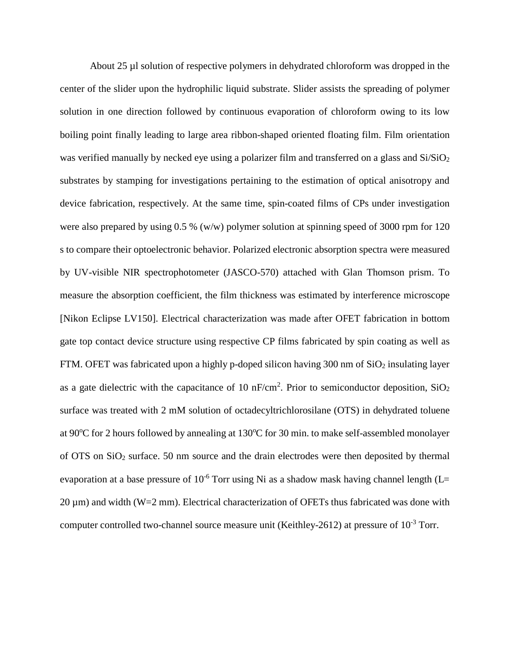About 25 µl solution of respective polymers in dehydrated chloroform was dropped in the center of the slider upon the hydrophilic liquid substrate. Slider assists the spreading of polymer solution in one direction followed by continuous evaporation of chloroform owing to its low boiling point finally leading to large area ribbon-shaped oriented floating film. Film orientation was verified manually by necked eye using a polarizer film and transferred on a glass and  $Si/SiO<sub>2</sub>$ substrates by stamping for investigations pertaining to the estimation of optical anisotropy and device fabrication, respectively. At the same time, spin-coated films of CPs under investigation were also prepared by using 0.5 % (w/w) polymer solution at spinning speed of 3000 rpm for 120 s to compare their optoelectronic behavior. Polarized electronic absorption spectra were measured by UV-visible NIR spectrophotometer (JASCO-570) attached with Glan Thomson prism. To measure the absorption coefficient, the film thickness was estimated by interference microscope [Nikon Eclipse LV150]. Electrical characterization was made after OFET fabrication in bottom gate top contact device structure using respective CP films fabricated by spin coating as well as FTM. OFET was fabricated upon a highly p-doped silicon having 300 nm of  $SiO<sub>2</sub>$  insulating layer as a gate dielectric with the capacitance of 10 nF/cm<sup>2</sup>. Prior to semiconductor deposition, SiO<sub>2</sub> surface was treated with 2 mM solution of octadecyltrichlorosilane (OTS) in dehydrated toluene at 90°C for 2 hours followed by annealing at 130°C for 30 min. to make self-assembled monolayer of OTS on SiO2 surface. 50 nm source and the drain electrodes were then deposited by thermal evaporation at a base pressure of  $10^{-6}$  Torr using Ni as a shadow mask having channel length (L=  $20 \,\mu$ m) and width (W=2 mm). Electrical characterization of OFETs thus fabricated was done with computer controlled two-channel source measure unit (Keithley-2612) at pressure of  $10^{-3}$  Torr.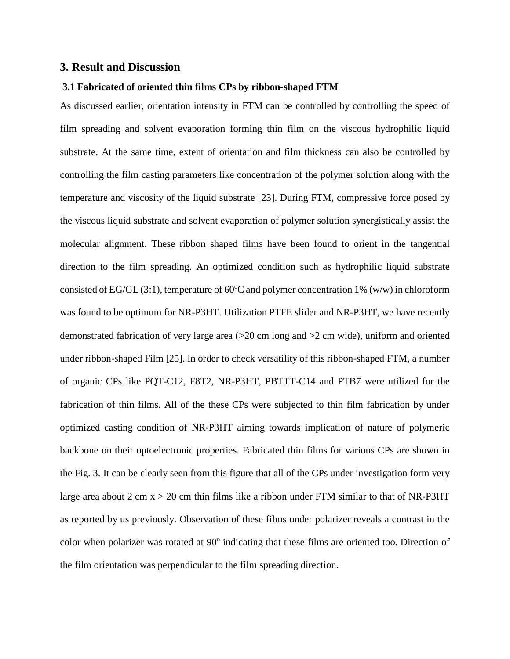## **3. Result and Discussion**

#### **3.1 Fabricated of oriented thin films CPs by ribbon-shaped FTM**

As discussed earlier, orientation intensity in FTM can be controlled by controlling the speed of film spreading and solvent evaporation forming thin film on the viscous hydrophilic liquid substrate. At the same time, extent of orientation and film thickness can also be controlled by controlling the film casting parameters like concentration of the polymer solution along with the temperature and viscosity of the liquid substrate [23]. During FTM, compressive force posed by the viscous liquid substrate and solvent evaporation of polymer solution synergistically assist the molecular alignment. These ribbon shaped films have been found to orient in the tangential direction to the film spreading. An optimized condition such as hydrophilic liquid substrate consisted of EG/GL (3:1), temperature of 60 $^{\circ}$ C and polymer concentration 1% (w/w) in chloroform was found to be optimum for NR-P3HT. Utilization PTFE slider and NR-P3HT, we have recently demonstrated fabrication of very large area  $(>=20 \text{ cm} \text{ long and }>=2 \text{ cm} \text{ wide})$ , uniform and oriented under ribbon-shaped Film [25]. In order to check versatility of this ribbon-shaped FTM, a number of organic CPs like PQT-C12, F8T2, NR-P3HT, PBTTT-C14 and PTB7 were utilized for the fabrication of thin films. All of the these CPs were subjected to thin film fabrication by under optimized casting condition of NR-P3HT aiming towards implication of nature of polymeric backbone on their optoelectronic properties. Fabricated thin films for various CPs are shown in the Fig. 3. It can be clearly seen from this figure that all of the CPs under investigation form very large area about 2 cm  $x > 20$  cm thin films like a ribbon under FTM similar to that of NR-P3HT as reported by us previously. Observation of these films under polarizer reveals a contrast in the color when polarizer was rotated at 90° indicating that these films are oriented too. Direction of the film orientation was perpendicular to the film spreading direction.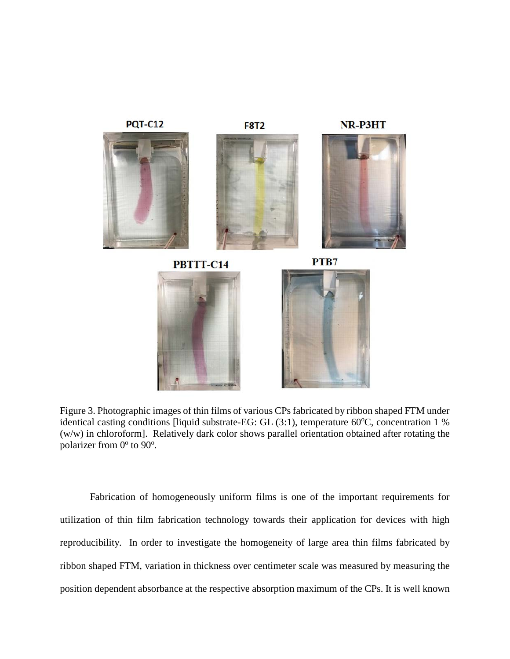

Figure 3. Photographic images of thin films of various CPs fabricated by ribbon shaped FTM under identical casting conditions [liquid substrate-EG: GL (3:1), temperature 60°C, concentration 1 % (w/w) in chloroform]. Relatively dark color shows parallel orientation obtained after rotating the polarizer from 0° to 90°.

Fabrication of homogeneously uniform films is one of the important requirements for utilization of thin film fabrication technology towards their application for devices with high reproducibility. In order to investigate the homogeneity of large area thin films fabricated by ribbon shaped FTM, variation in thickness over centimeter scale was measured by measuring the position dependent absorbance at the respective absorption maximum of the CPs. It is well known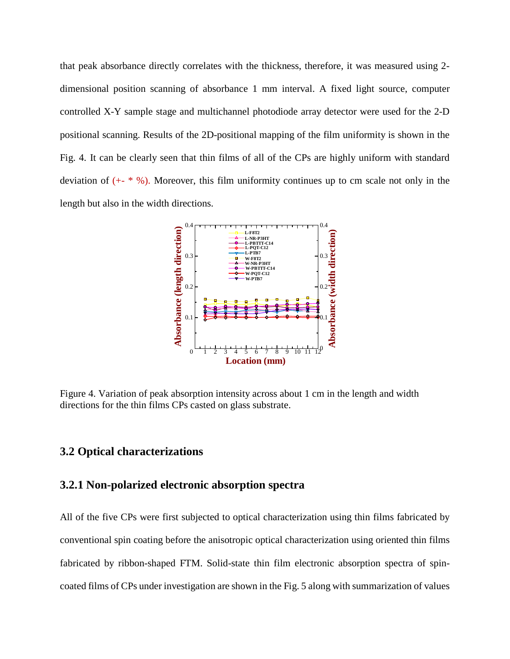that peak absorbance directly correlates with the thickness, therefore, it was measured using 2 dimensional position scanning of absorbance 1 mm interval. A fixed light source, computer controlled X-Y sample stage and multichannel photodiode array detector were used for the 2-D positional scanning. Results of the 2D-positional mapping of the film uniformity is shown in the Fig. 4. It can be clearly seen that thin films of all of the CPs are highly uniform with standard deviation of  $(+$  \* %). Moreover, this film uniformity continues up to cm scale not only in the length but also in the width directions.



Figure 4. Variation of peak absorption intensity across about 1 cm in the length and width directions for the thin films CPs casted on glass substrate.

## **3.2 Optical characterizations**

## **3.2.1 Non-polarized electronic absorption spectra**

All of the five CPs were first subjected to optical characterization using thin films fabricated by conventional spin coating before the anisotropic optical characterization using oriented thin films fabricated by ribbon-shaped FTM. Solid-state thin film electronic absorption spectra of spincoated films of CPs under investigation are shown in the Fig. 5 along with summarization of values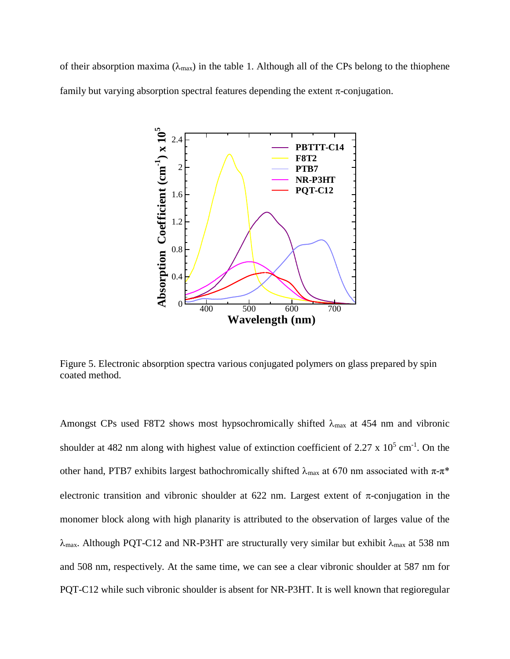of their absorption maxima ( $\lambda_{\text{max}}$ ) in the table 1. Although all of the CPs belong to the thiophene family but varying absorption spectral features depending the extent  $\pi$ -conjugation.



Figure 5. Electronic absorption spectra various conjugated polymers on glass prepared by spin coated method.

Amongst CPs used F8T2 shows most hypsochromically shifted  $\lambda_{\text{max}}$  at 454 nm and vibronic shoulder at 482 nm along with highest value of extinction coefficient of 2.27  $\times$  10<sup>5</sup> cm<sup>-1</sup>. On the other hand, PTB7 exhibits largest bathochromically shifted  $\lambda_{\text{max}}$  at 670 nm associated with  $\pi$ - $\pi$ <sup>\*</sup> electronic transition and vibronic shoulder at 622 nm. Largest extent of  $\pi$ -conjugation in the monomer block along with high planarity is attributed to the observation of larges value of the  $\lambda_{\text{max}}$ . Although PQT-C12 and NR-P3HT are structurally very similar but exhibit  $\lambda_{\text{max}}$  at 538 nm and 508 nm, respectively. At the same time, we can see a clear vibronic shoulder at 587 nm for PQT-C12 while such vibronic shoulder is absent for NR-P3HT. It is well known that regioregular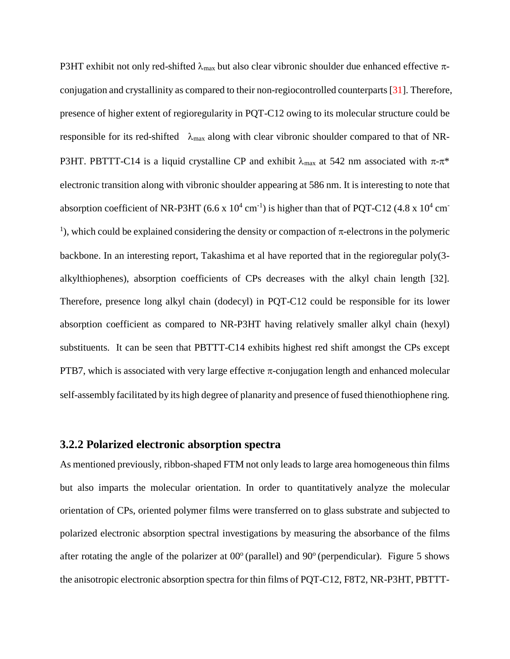P3HT exhibit not only red-shifted  $\lambda_{\text{max}}$  but also clear vibronic shoulder due enhanced effective  $\pi$ conjugation and crystallinity as compared to their non-regiocontrolled counterparts [31]. Therefore, presence of higher extent of regioregularity in PQT-C12 owing to its molecular structure could be responsible for its red-shifted  $\lambda_{\text{max}}$  along with clear vibronic shoulder compared to that of NR-P3HT. PBTTT-C14 is a liquid crystalline CP and exhibit  $\lambda_{\text{max}}$  at 542 nm associated with π-π<sup>\*</sup> electronic transition along with vibronic shoulder appearing at 586 nm. It is interesting to note that absorption coefficient of NR-P3HT (6.6 x  $10^4$  cm<sup>-1</sup>) is higher than that of PQT-C12 (4.8 x  $10^4$  cm<sup>-</sup> <sup>1</sup>), which could be explained considering the density or compaction of  $\pi$ -electrons in the polymeric backbone. In an interesting report, Takashima et al have reported that in the regioregular poly(3 alkylthiophenes), absorption coefficients of CPs decreases with the alkyl chain length [32]. Therefore, presence long alkyl chain (dodecyl) in PQT-C12 could be responsible for its lower absorption coefficient as compared to NR-P3HT having relatively smaller alkyl chain (hexyl) substituents. It can be seen that PBTTT-C14 exhibits highest red shift amongst the CPs except PTB7, which is associated with very large effective  $\pi$ -conjugation length and enhanced molecular self-assembly facilitated by its high degree of planarity and presence of fused thienothiophene ring.

## **3.2.2 Polarized electronic absorption spectra**

As mentioned previously, ribbon-shaped FTM not only leads to large area homogeneous thin films but also imparts the molecular orientation. In order to quantitatively analyze the molecular orientation of CPs, oriented polymer films were transferred on to glass substrate and subjected to polarized electronic absorption spectral investigations by measuring the absorbance of the films after rotating the angle of the polarizer at  $00^{\circ}$  (parallel) and  $90^{\circ}$  (perpendicular). Figure 5 shows the anisotropic electronic absorption spectra for thin films of PQT-C12, F8T2, NR-P3HT, PBTTT-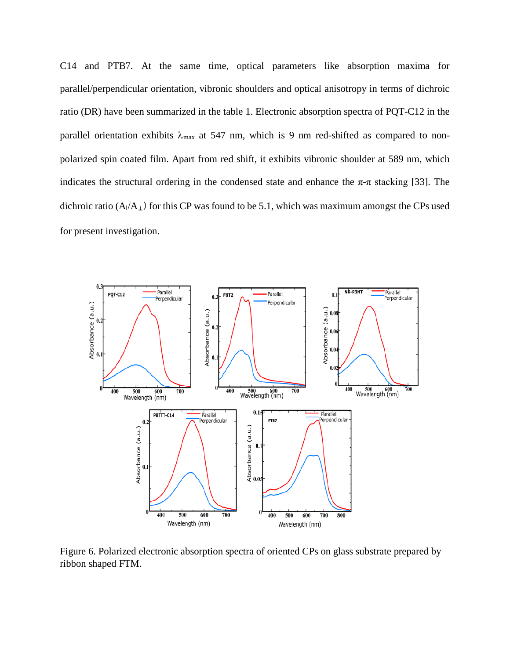C14 and PTB7. At the same time, optical parameters like absorption maxima for parallel/perpendicular orientation, vibronic shoulders and optical anisotropy in terms of dichroic ratio (DR) have been summarized in the table 1. Electronic absorption spectra of PQT-C12 in the parallel orientation exhibits  $\lambda_{\text{max}}$  at 547 nm, which is 9 nm red-shifted as compared to nonpolarized spin coated film. Apart from red shift, it exhibits vibronic shoulder at 589 nm, which indicates the structural ordering in the condensed state and enhance the  $\pi$ - $\pi$  stacking [33]. The dichroic ratio ( $A$  $/A$ <sub>⊥</sub>) for this CP was found to be 5.1, which was maximum amongst the CPs used for present investigation.



Figure 6. Polarized electronic absorption spectra of oriented CPs on glass substrate prepared by ribbon shaped FTM.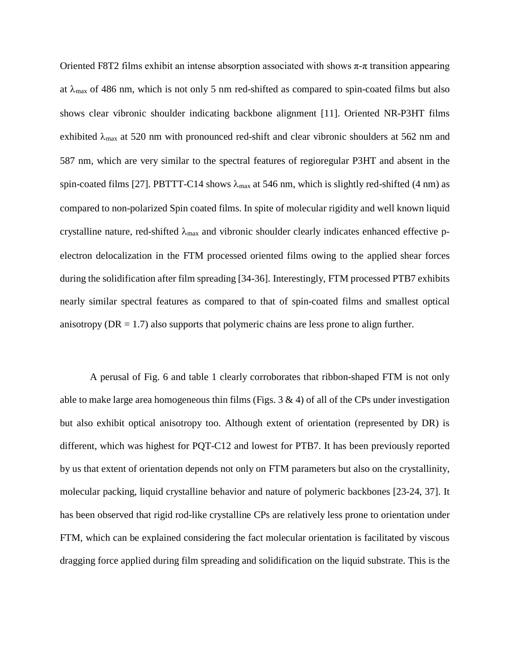Oriented F8T2 films exhibit an intense absorption associated with shows  $π$ -π transition appearing at  $\lambda_{\text{max}}$  of 486 nm, which is not only 5 nm red-shifted as compared to spin-coated films but also shows clear vibronic shoulder indicating backbone alignment [11]. Oriented NR-P3HT films exhibited  $\lambda_{\text{max}}$  at 520 nm with pronounced red-shift and clear vibronic shoulders at 562 nm and 587 nm, which are very similar to the spectral features of regioregular P3HT and absent in the spin-coated films [27]. PBTTT-C14 shows  $\lambda_{\text{max}}$  at 546 nm, which is slightly red-shifted (4 nm) as compared to non-polarized Spin coated films. In spite of molecular rigidity and well known liquid crystalline nature, red-shifted  $\lambda_{\text{max}}$  and vibronic shoulder clearly indicates enhanced effective pelectron delocalization in the FTM processed oriented films owing to the applied shear forces during the solidification after film spreading [34-36]. Interestingly, FTM processed PTB7 exhibits nearly similar spectral features as compared to that of spin-coated films and smallest optical anisotropy ( $DR = 1.7$ ) also supports that polymeric chains are less prone to align further.

A perusal of Fig. 6 and table 1 clearly corroborates that ribbon-shaped FTM is not only able to make large area homogeneous thin films (Figs.  $3 \& 4$ ) of all of the CPs under investigation but also exhibit optical anisotropy too. Although extent of orientation (represented by DR) is different, which was highest for PQT-C12 and lowest for PTB7. It has been previously reported by us that extent of orientation depends not only on FTM parameters but also on the crystallinity, molecular packing, liquid crystalline behavior and nature of polymeric backbones [23-24, 37]. It has been observed that rigid rod-like crystalline CPs are relatively less prone to orientation under FTM, which can be explained considering the fact molecular orientation is facilitated by viscous dragging force applied during film spreading and solidification on the liquid substrate. This is the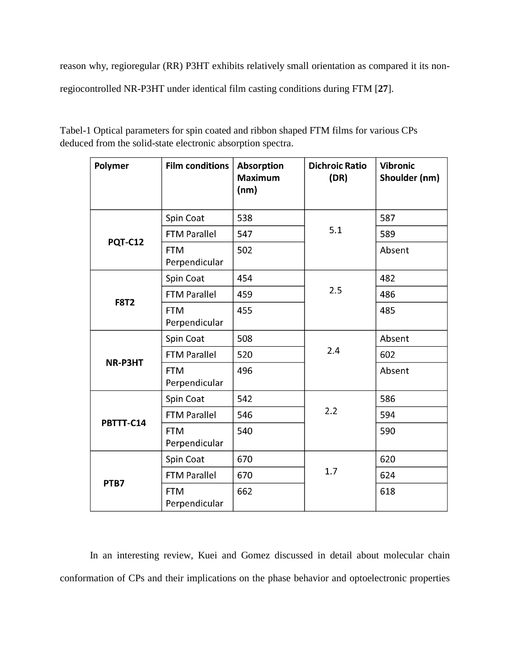reason why, regioregular (RR) P3HT exhibits relatively small orientation as compared it its non-

regiocontrolled NR-P3HT under identical film casting conditions during FTM [**27**].

| Polymer        | <b>Film conditions</b>             | <b>Absorption</b><br><b>Maximum</b><br>(nm) | <b>Dichroic Ratio</b><br>(DR) | <b>Vibronic</b><br>Shoulder (nm) |
|----------------|------------------------------------|---------------------------------------------|-------------------------------|----------------------------------|
| <b>PQT-C12</b> | Spin Coat                          | 538                                         |                               | 587                              |
|                | <b>FTM Parallel</b>                | 547                                         | 5.1                           | 589                              |
|                | <b>FTM</b><br>Perpendicular        | 502                                         |                               | Absent                           |
| <b>F8T2</b>    | Spin Coat                          | 454                                         |                               | 482                              |
|                | <b>FTM Parallel</b>                | 459                                         | 2.5                           | 486                              |
|                | <b>FTM</b><br>Perpendicular        | 455                                         |                               | 485                              |
| NR-P3HT        | Spin Coat                          | 508                                         |                               | Absent                           |
|                | <b>FTM Parallel</b>                | 520                                         | 2.4                           | 602                              |
|                | <b>FTM</b><br>Perpendicular        | 496                                         |                               | Absent                           |
| PBTTT-C14      | Spin Coat                          | 542                                         |                               | 586                              |
|                | <b>FTM Parallel</b>                | 546                                         | 2.2                           | 594                              |
|                | <b>FTM</b><br>Perpendicular        | 540                                         |                               | 590                              |
| PTB7           | Spin Coat                          | 670                                         |                               | 620                              |
|                | <b>FTM Parallel</b>                | 670                                         | 1.7                           | 624                              |
|                | 662<br><b>FTM</b><br>Perpendicular |                                             |                               | 618                              |

Tabel-1 Optical parameters for spin coated and ribbon shaped FTM films for various CPs deduced from the solid-state electronic absorption spectra.

In an interesting review, Kuei and Gomez discussed in detail about molecular chain conformation of CPs and their implications on the phase behavior and optoelectronic properties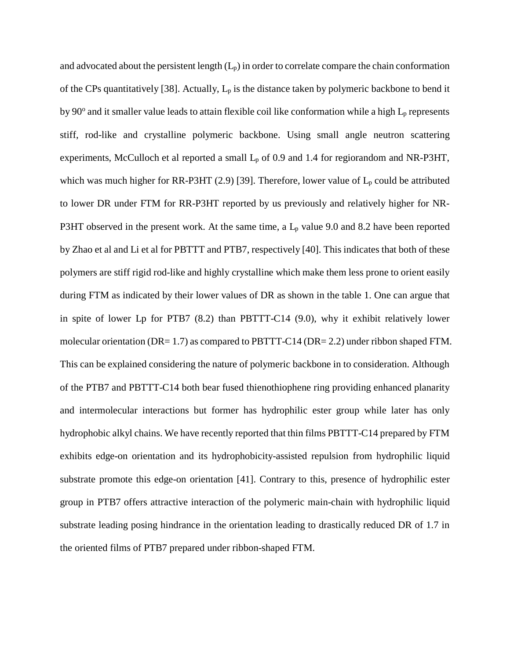and advocated about the persistent length  $(L_p)$  in order to correlate compare the chain conformation of the CPs quantitatively [38]. Actually,  $L_p$  is the distance taken by polymeric backbone to bend it by  $90^\circ$  and it smaller value leads to attain flexible coil like conformation while a high  $L_p$  represents stiff, rod-like and crystalline polymeric backbone. Using small angle neutron scattering experiments, McCulloch et al reported a small  $L_p$  of 0.9 and 1.4 for regiorandom and NR-P3HT, which was much higher for RR-P3HT (2.9) [39]. Therefore, lower value of  $L_p$  could be attributed to lower DR under FTM for RR-P3HT reported by us previously and relatively higher for NR-P3HT observed in the present work. At the same time, a  $L_p$  value 9.0 and 8.2 have been reported by Zhao et al and Li et al for PBTTT and PTB7, respectively [40]. This indicates that both of these polymers are stiff rigid rod-like and highly crystalline which make them less prone to orient easily during FTM as indicated by their lower values of DR as shown in the table 1. One can argue that in spite of lower Lp for PTB7 (8.2) than PBTTT-C14 (9.0), why it exhibit relatively lower molecular orientation (DR= 1.7) as compared to PBTTT-C14 (DR= 2.2) under ribbon shaped FTM. This can be explained considering the nature of polymeric backbone in to consideration. Although of the PTB7 and PBTTT-C14 both bear fused thienothiophene ring providing enhanced planarity and intermolecular interactions but former has hydrophilic ester group while later has only hydrophobic alkyl chains. We have recently reported that thin films PBTTT-C14 prepared by FTM exhibits edge-on orientation and its hydrophobicity-assisted repulsion from hydrophilic liquid substrate promote this edge-on orientation [41]. Contrary to this, presence of hydrophilic ester group in PTB7 offers attractive interaction of the polymeric main-chain with hydrophilic liquid substrate leading posing hindrance in the orientation leading to drastically reduced DR of 1.7 in the oriented films of PTB7 prepared under ribbon-shaped FTM.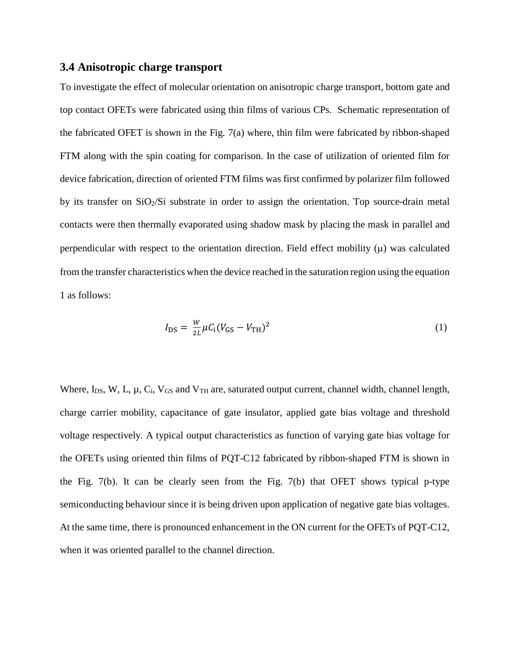#### **3.4 Anisotropic charge transport**

To investigate the effect of molecular orientation on anisotropic charge transport, bottom gate and top contact OFETs were fabricated using thin films of various CPs. Schematic representation of the fabricated OFET is shown in the Fig. 7(a) where, thin film were fabricated by ribbon-shaped FTM along with the spin coating for comparison. In the case of utilization of oriented film for device fabrication, direction of oriented FTM films was first confirmed by polarizer film followed by its transfer on  $SiO<sub>2</sub>/Si$  substrate in order to assign the orientation. Top source-drain metal contacts were then thermally evaporated using shadow mask by placing the mask in parallel and perpendicular with respect to the orientation direction. Field effect mobility  $(\mu)$  was calculated from the transfer characteristics when the device reached in the saturation region using the equation 1 as follows:

$$
I_{\rm DS} = \frac{W}{2L} \mu C_{\rm i} (V_{\rm GS} - V_{\rm TH})^2
$$
 (1)

Where,  $I_{DS}$ , W, L,  $\mu$ ,  $C_i$ ,  $V_{GS}$  and  $V_{TH}$  are, saturated output current, channel width, channel length, charge carrier mobility, capacitance of gate insulator, applied gate bias voltage and threshold voltage respectively. A typical output characteristics as function of varying gate bias voltage for the OFETs using oriented thin films of PQT-C12 fabricated by ribbon-shaped FTM is shown in the Fig. 7(b). It can be clearly seen from the Fig. 7(b) that OFET shows typical p-type semiconducting behaviour since it is being driven upon application of negative gate bias voltages. At the same time, there is pronounced enhancement in the ON current for the OFETs of PQT-C12, when it was oriented parallel to the channel direction.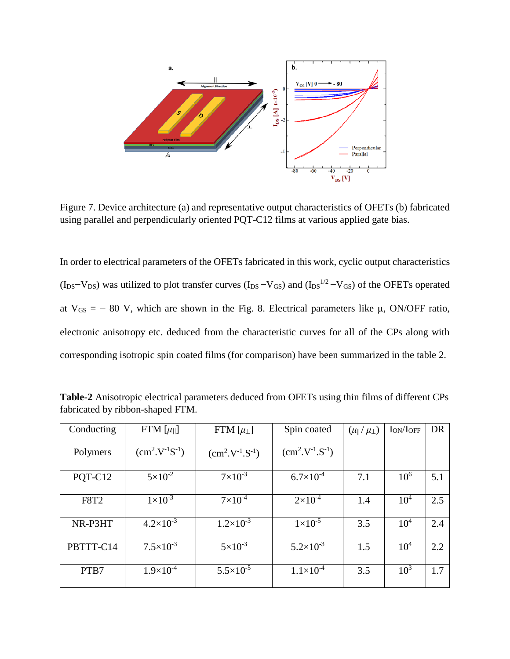

Figure 7. Device architecture (a) and representative output characteristics of OFETs (b) fabricated using parallel and perpendicularly oriented PQT-C12 films at various applied gate bias.

In order to electrical parameters of the OFETs fabricated in this work, cyclic output characteristics  $(I_{DS}-V_{DS})$  was utilized to plot transfer curves  $(I_{DS}-V_{GS})$  and  $(I_{DS}^{1/2}-V_{GS})$  of the OFETs operated at  $V_{GS} = -80$  V, which are shown in the Fig. 8. Electrical parameters like  $\mu$ , ON/OFF ratio, electronic anisotropy etc. deduced from the characteristic curves for all of the CPs along with corresponding isotropic spin coated films (for comparison) have been summarized in the table 2.

| Conducting  | FTM $[\mu_{\parallel}$ | FTM $[\mu_{\perp}]$  | Spin coated          | $(\mu_{\parallel}/\mu_{\perp})$ | $I_{ON}/I_{OFF}$ | <b>DR</b> |
|-------------|------------------------|----------------------|----------------------|---------------------------------|------------------|-----------|
| Polymers    | $(cm^2.V^{-1}S^{-1})$  | $(cm2.V-1.S-1)$      | $(cm2.V-1.S-1)$      |                                 |                  |           |
| PQT-C12     | $5 \times 10^{-2}$     | $7 \times 10^{-3}$   | $6.7\times10^{-4}$   | 7.1                             | $10^{6}$         | 5.1       |
| <b>F8T2</b> | $1 \times 10^{-3}$     | $7 \times 10^{-4}$   | $2 \times 10^{-4}$   | 1.4                             | $10^{4}$         | 2.5       |
| NR-P3HT     | $4.2 \times 10^{-3}$   | $1.2 \times 10^{-3}$ | $1\times10^{-5}$     | 3.5                             | $10^{4}$         | 2.4       |
| PBTTT-C14   | $7.5 \times 10^{-3}$   | $5 \times 10^{-3}$   | $5.2 \times 10^{-3}$ | 1.5                             | $10^{4}$         | 2.2       |
| PTB7        | $1.9\times10^{-4}$     | $5.5 \times 10^{-5}$ | $1.1\times10^{-4}$   | 3.5                             | $10^{3}$         | 1.7       |

**Table-2** Anisotropic electrical parameters deduced from OFETs using thin films of different CPs fabricated by ribbon-shaped FTM.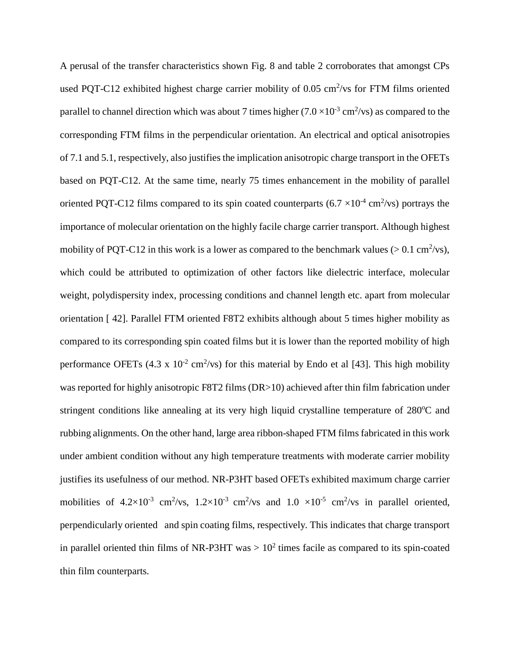A perusal of the transfer characteristics shown Fig. 8 and table 2 corroborates that amongst CPs used PQT-C12 exhibited highest charge carrier mobility of  $0.05 \text{ cm}^2/\text{vs}$  for FTM films oriented parallel to channel direction which was about 7 times higher  $(7.0 \times 10^{-3} \text{ cm}^2/\text{vs})$  as compared to the corresponding FTM films in the perpendicular orientation. An electrical and optical anisotropies of 7.1 and 5.1, respectively, also justifies the implication anisotropic charge transport in the OFETs based on PQT-C12. At the same time, nearly 75 times enhancement in the mobility of parallel oriented PQT-C12 films compared to its spin coated counterparts  $(6.7 \times 10^{-4} \text{ cm}^2/\text{vs})$  portrays the importance of molecular orientation on the highly facile charge carrier transport. Although highest mobility of PQT-C12 in this work is a lower as compared to the benchmark values ( $> 0.1$  cm<sup>2</sup>/vs), which could be attributed to optimization of other factors like dielectric interface, molecular weight, polydispersity index, processing conditions and channel length etc. apart from molecular orientation [ 42]. Parallel FTM oriented F8T2 exhibits although about 5 times higher mobility as compared to its corresponding spin coated films but it is lower than the reported mobility of high performance OFETs  $(4.3 \times 10^{-2} \text{ cm}^2/\text{vs})$  for this material by Endo et al [43]. This high mobility was reported for highly anisotropic F8T2 films (DR>10) achieved after thin film fabrication under stringent conditions like annealing at its very high liquid crystalline temperature of 280°C and rubbing alignments. On the other hand, large area ribbon-shaped FTM films fabricated in this work under ambient condition without any high temperature treatments with moderate carrier mobility justifies its usefulness of our method. NR-P3HT based OFETs exhibited maximum charge carrier mobilities of 4.2×10<sup>-3</sup> cm<sup>2</sup>/vs, 1.2×10<sup>-3</sup> cm<sup>2</sup>/vs and 1.0 ×10<sup>-5</sup> cm<sup>2</sup>/vs in parallel oriented, perpendicularly oriented and spin coating films, respectively. This indicates that charge transport in parallel oriented thin films of NR-P3HT was  $> 10<sup>2</sup>$  times facile as compared to its spin-coated thin film counterparts.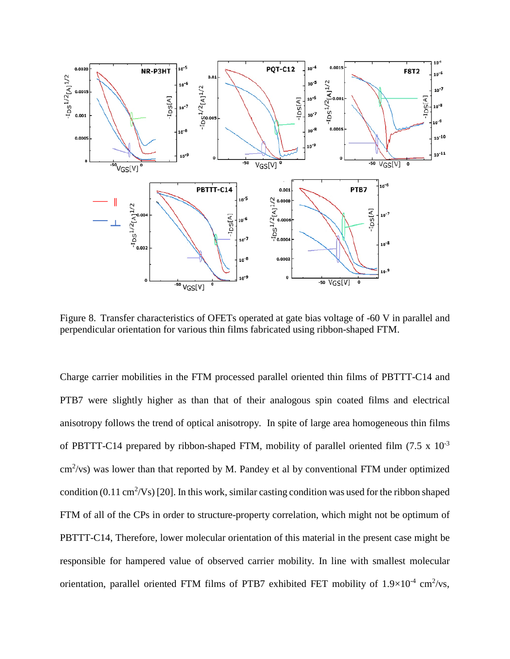

Figure 8. Transfer characteristics of OFETs operated at gate bias voltage of -60 V in parallel and perpendicular orientation for various thin films fabricated using ribbon-shaped FTM.

Charge carrier mobilities in the FTM processed parallel oriented thin films of PBTTT-C14 and PTB7 were slightly higher as than that of their analogous spin coated films and electrical anisotropy follows the trend of optical anisotropy. In spite of large area homogeneous thin films of PBTTT-C14 prepared by ribbon-shaped FTM, mobility of parallel oriented film  $(7.5 \times 10^{-3}$  $\text{cm}^2/\text{vs)}$  was lower than that reported by M. Pandey et al by conventional FTM under optimized condition  $(0.11 \text{ cm}^2/\text{Vs})$  [20]. In this work, similar casting condition was used for the ribbon shaped FTM of all of the CPs in order to structure-property correlation, which might not be optimum of PBTTT-C14, Therefore, lower molecular orientation of this material in the present case might be responsible for hampered value of observed carrier mobility. In line with smallest molecular orientation, parallel oriented FTM films of PTB7 exhibited FET mobility of  $1.9\times10^{-4}$  cm<sup>2</sup>/vs,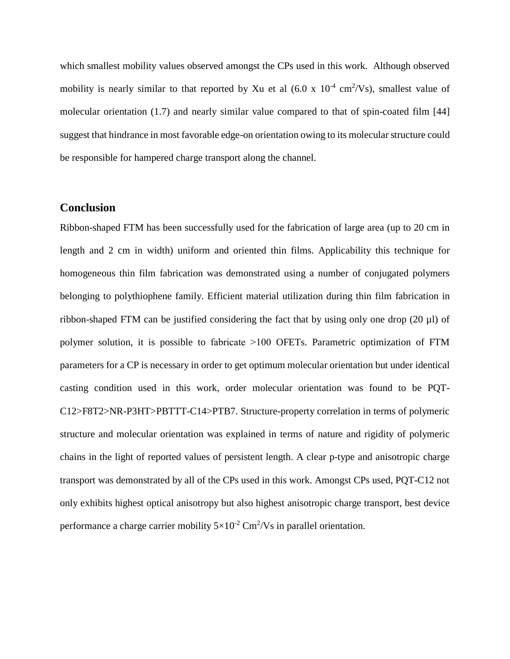which smallest mobility values observed amongst the CPs used in this work. Although observed mobility is nearly similar to that reported by Xu et al  $(6.0 \times 10^{-4} \text{ cm}^2/\text{Vs})$ , smallest value of molecular orientation (1.7) and nearly similar value compared to that of spin-coated film [44] suggest that hindrance in most favorable edge-on orientation owing to its molecular structure could be responsible for hampered charge transport along the channel.

## **Conclusion**

Ribbon-shaped FTM has been successfully used for the fabrication of large area (up to 20 cm in length and 2 cm in width) uniform and oriented thin films. Applicability this technique for homogeneous thin film fabrication was demonstrated using a number of conjugated polymers belonging to polythiophene family. Efficient material utilization during thin film fabrication in ribbon-shaped FTM can be justified considering the fact that by using only one drop  $(20 \mu l)$  of polymer solution, it is possible to fabricate ˃100 OFETs. Parametric optimization of FTM parameters for a CP is necessary in order to get optimum molecular orientation but under identical casting condition used in this work, order molecular orientation was found to be PQT-C12>F8T2>NR-P3HT>PBTTT-C14>PTB7. Structure-property correlation in terms of polymeric structure and molecular orientation was explained in terms of nature and rigidity of polymeric chains in the light of reported values of persistent length. A clear p-type and anisotropic charge transport was demonstrated by all of the CPs used in this work. Amongst CPs used, PQT-C12 not only exhibits highest optical anisotropy but also highest anisotropic charge transport, best device performance a charge carrier mobility  $5 \times 10^{-2}$  Cm<sup>2</sup>/Vs in parallel orientation.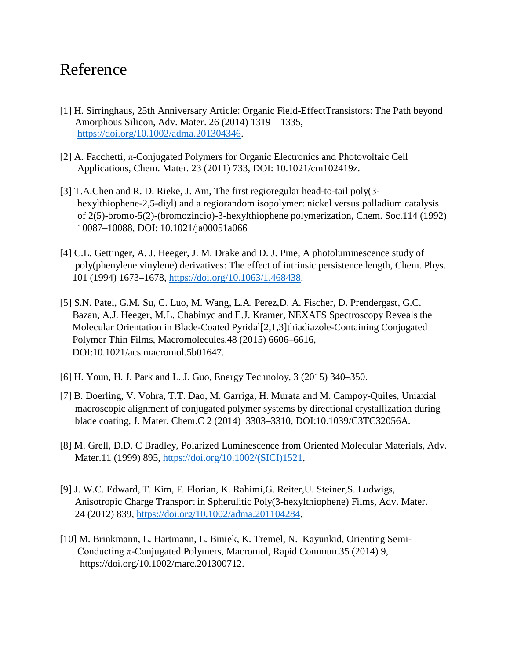# Reference

- [1] H. Sirringhaus, 25th Anniversary Article: Organic Field-EffectTransistors: The Path beyond Amorphous Silicon, Adv. Mater. 26 (2014) 1319 – 1335, [https://doi.org/10.1002/adma.201304346.](https://doi.org/10.1002/adma.201304346)
- [2] A. Facchetti, π-Conjugated Polymers for Organic Electronics and Photovoltaic Cell Applications, Chem. Mater. 23 (2011) 733, DOI: 10.1021/cm102419z.
- [3] T.A.Chen and R. D. Rieke, J. Am, The first regioregular head-to-tail poly(3 hexylthiophene-2,5-diyl) and a regiorandom isopolymer: nickel versus palladium catalysis of 2(5)-bromo-5(2)-(bromozincio)-3-hexylthiophene polymerization, Chem. Soc.114 (1992) 10087–10088, DOI: 10.1021/ja00051a066
- [4] C.L. Gettinger, A. J. Heeger, J. M. Drake and D. J. Pine, A photoluminescence study of poly(phenylene vinylene) derivatives: The effect of intrinsic persistence length, Chem. Phys. 101 (1994) 1673–1678, [https://doi.org/10.1063/1.468438.](https://doi.org/10.1063/1.468438)
- [5] S.N. Patel, G.M. Su, C. Luo, M. Wang, L.A. Perez,D. A. Fischer, D. Prendergast, G.C. Bazan, A.J. Heeger, M.L. Chabinyc and E.J. Kramer, NEXAFS Spectroscopy Reveals the Molecular Orientation in Blade-Coated Pyridal[2,1,3]thiadiazole-Containing Conjugated Polymer Thin Films, Macromolecules.48 (2015) 6606–6616, DOI:10.1021/acs.macromol.5b01647.
- [6] H. Youn, H. J. Park and L. J. Guo, Energy Technoloy, 3 (2015) 340–350.
- [7] B. Doerling, V. Vohra, T.T. Dao, M. Garriga, H. Murata and M. Campoy-Quiles, Uniaxial macroscopic alignment of conjugated polymer systems by directional crystallization during blade coating, J. Mater. Chem.C 2 (2014) 3303–3310, DOI:10.1039/C3TC32056A.
- [8] M. Grell, D.D. C Bradley, Polarized Luminescence from Oriented Molecular Materials, Adv. Mater.11 (1999) 895, [https://doi.org/10.1002/\(SICI\)1521.](https://doi.org/10.1002/(SICI)1521)
- [9] J. W.C. Edward, T. Kim, F. Florian, K. Rahimi,G. Reiter,U. Steiner,S. Ludwigs, Anisotropic Charge Transport in Spherulitic Poly(3-hexylthiophene) Films, Adv. Mater. 24 (2012) 839, [https://doi.org/10.1002/adma.201104284.](https://doi.org/10.1002/adma.201104284)
- [10] M. Brinkmann, L. Hartmann, L. Biniek, K. Tremel, N. Kayunkid, Orienting Semi- Conducting π-Conjugated Polymers, Macromol, Rapid Commun.35 (2014) 9, https://doi.org/10.1002/marc.201300712.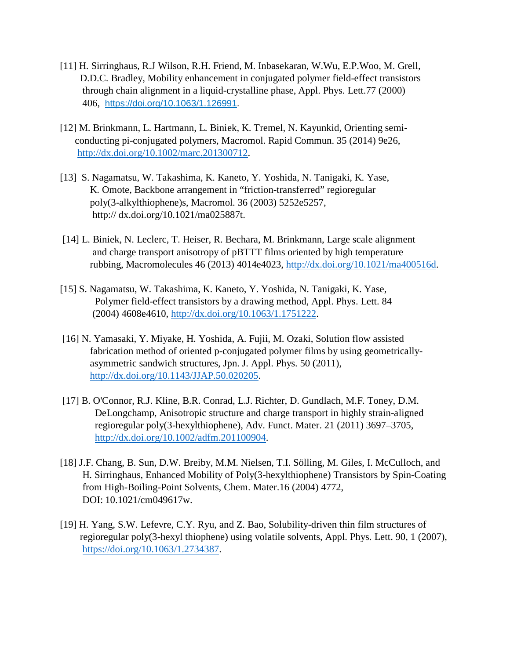- [11] H. Sirringhaus, R.J Wilson, R.H. Friend, M. Inbasekaran, W.Wu, E.P.Woo, M. Grell, D.D.C. Bradley, Mobility enhancement in conjugated polymer field-effect transistors through chain alignment in a liquid-crystalline phase, Appl. Phys. Lett.77 (2000) 406, <https://doi.org/10.1063/1.126991>.
- [12] M. Brinkmann, L. Hartmann, L. Biniek, K. Tremel, N. Kayunkid, Orienting semi conducting pi-conjugated polymers, Macromol. Rapid Commun. 35 (2014) 9e26, [http://dx.doi.org/10.1002/marc.201300712.](http://dx.doi.org/10.1002/marc.201300712)
- [13] S. Nagamatsu, W. Takashima, K. Kaneto, Y. Yoshida, N. Tanigaki, K. Yase, K. Omote, Backbone arrangement in "friction-transferred" regioregular poly(3-alkylthiophene)s, Macromol. 36 (2003) 5252e5257, http:// dx.doi.org/10.1021/ma025887t.
- [14] L. Biniek, N. Leclerc, T. Heiser, R. Bechara, M. Brinkmann, Large scale alignment and charge transport anisotropy of pBTTT films oriented by high temperature rubbing, Macromolecules 46 (2013) 4014e4023, [http://dx.doi.org/10.1021/ma400516d.](http://dx.doi.org/10.1021/ma400516d)
- [15] S. Nagamatsu, W. Takashima, K. Kaneto, Y. Yoshida, N. Tanigaki, K. Yase, Polymer field-effect transistors by a drawing method, Appl. Phys. Lett. 84 (2004) 4608e4610, [http://dx.doi.org/10.1063/1.1751222.](http://dx.doi.org/10.1063/1.1751222)
- [16] N. Yamasaki, Y. Miyake, H. Yoshida, A. Fujii, M. Ozaki, Solution flow assisted fabrication method of oriented p-conjugated polymer films by using geometricallyasymmetric sandwich structures, Jpn. J. Appl. Phys. 50 (2011), [http://dx.doi.org/10.1143/JJAP.50.020205.](http://dx.doi.org/10.1143/JJAP.50.020205)
- [17] B. O'Connor, R.J. Kline, B.R. Conrad, L.J. Richter, D. Gundlach, M.F. Toney, D.M. DeLongchamp, Anisotropic structure and charge transport in highly strain-aligned regioregular poly(3-hexylthiophene), Adv. Funct. Mater. 21 (2011) 3697–3705, [http://dx.doi.org/10.1002/adfm.201100904.](http://dx.doi.org/10.1002/adfm.201100904)
- [18] J.F. Chang, B. Sun, D.W. Breiby, M.M. Nielsen, T.I. Sölling, M. Giles, I. McCulloch, and H. Sirringhaus, Enhanced Mobility of Poly(3-hexylthiophene) Transistors by Spin-Coating from High-Boiling-Point Solvents, Chem. Mater.16 (2004) 4772, DOI: 10.1021/cm049617w.
- [19] H. Yang, S.W. Lefevre, C.Y. Ryu, and Z. Bao, Solubility-driven thin film structures of regioregular poly(3-hexyl thiophene) using volatile solvents, Appl. Phys. Lett. 90, 1 (2007), [https://doi.org/10.1063/1.2734387.](https://doi.org/10.1063/1.2734387)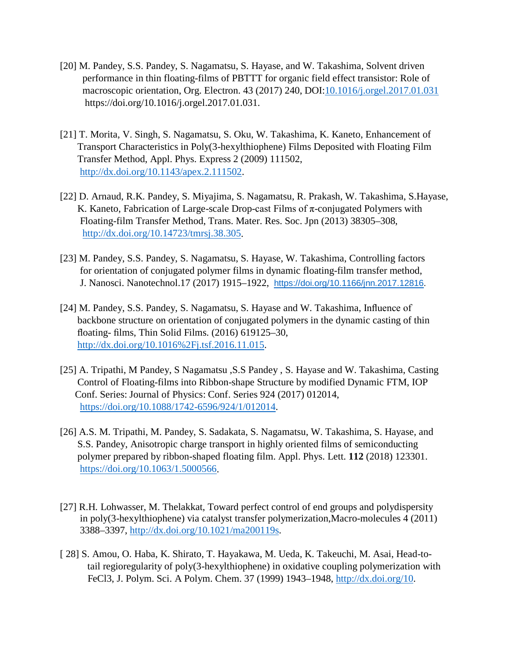- [20] M. Pandey, S.S. Pandey, S. Nagamatsu, S. Hayase, and W. Takashima, Solvent driven performance in thin floating-films of PBTTT for organic field effect transistor: Role of macroscopic orientation, Org. Electron. 43 (2017) 240, DOI[:10.1016/j.orgel.2017.01.031](http://dx.doi.org/10.1016%2Fj.orgel.2017.01.031) https://doi.org/10.1016/j.orgel.2017.01.031.
- [21] T. Morita, V. Singh, S. Nagamatsu, S. Oku, W. Takashima, K. Kaneto, Enhancement of Transport Characteristics in Poly(3-hexylthiophene) Films Deposited with Floating Film Transfer Method, Appl. Phys. Express 2 (2009) 111502, [http://dx.doi.org/10.1143/apex.2.111502.](http://dx.doi.org/10.1143/apex.2.111502)
- [22] D. Arnaud, R.K. Pandey, S. Miyajima, S. Nagamatsu, R. Prakash, W. Takashima, S.Hayase, K. Kaneto, Fabrication of Large-scale Drop-cast Films of  $\pi$ -conjugated Polymers with Floating-film Transfer Method, Trans. Mater. Res. Soc. Jpn (2013) 38305–308, [http://dx.doi.org/10.14723/tmrsj.38.305.](http://dx.doi.org/10.14723/tmrsj.38.305)
- [23] M. Pandey, S.S. Pandey, S. Nagamatsu, S. Hayase, W. Takashima, Controlling factors for orientation of conjugated polymer films in dynamic floating-film transfer method, J. Nanosci. Nanotechnol.17 (2017) 1915–1922, [https://doi.org/10.1166/jnn.2017.12816.](https://doi.org/10.1166/jnn.2017.12816)
- [24] M. Pandey, S.S. Pandey, S. Nagamatsu, S. Hayase and W. Takashima, Influence of backbone structure on orientation of conjugated polymers in the dynamic casting of thin floating- films, Thin Solid Films. (2016) 619125–30, [http://dx.doi.org/10.1016%2Fj.tsf.2016.11.015.](http://dx.doi.org/10.1016%2Fj.tsf.2016.11.015)
- [25] A. Tripathi, M Pandey, S Nagamatsu ,S.S Pandey , S. Hayase and W. Takashima, Casting Control of Floating-films into Ribbon-shape Structure by modified Dynamic FTM, IOP Conf. Series: Journal of Physics: Conf. Series 924 (2017) 012014, [https://doi.org/10.1088/1742-6596/924/1/012014.](https://doi.org/10.1088/1742-6596/924/1/012014)
- [26] A.S. M. Tripathi, M. Pandey, S. Sadakata, S. Nagamatsu, W. Takashima, S. Hayase, and S.S. Pandey, Anisotropic charge transport in highly oriented films of semiconducting polymer prepared by ribbon-shaped floating film. Appl. Phys. Lett. **112** (2018) 123301. [https://doi.org/10.1063/1.5000566.](https://doi.org/10.1063/1.5000566)
- [27] R.H. Lohwasser, M. Thelakkat, Toward perfect control of end groups and polydispersity in poly(3-hexylthiophene) via catalyst transfer polymerization,Macro-molecules 4 (2011) 3388–3397, [http://dx.doi.org/10.1021/ma200119s.](http://dx.doi.org/10.1021/ma200119s)
- [ 28] S. Amou, O. Haba, K. Shirato, T. Hayakawa, M. Ueda, K. Takeuchi, M. Asai, Head-to tail regioregularity of poly(3-hexylthiophene) in oxidative coupling polymerization with FeCl3, J. Polym. Sci. A Polym. Chem. 37 (1999) 1943–1948, [http://dx.doi.org/10.](http://dx.doi.org/10)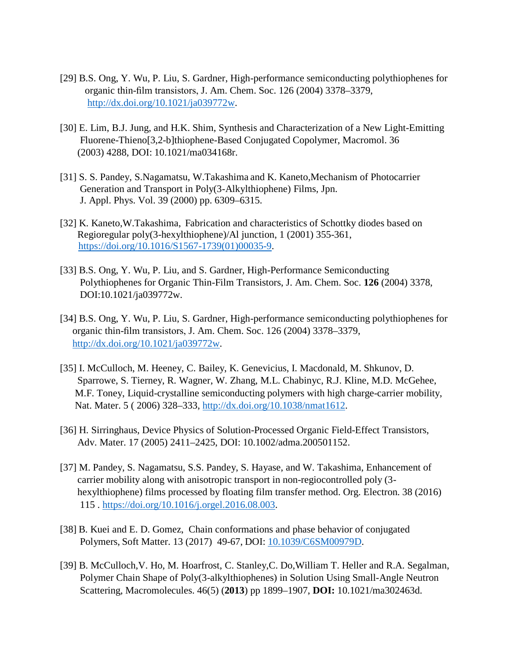- [29] B.S. Ong, Y. Wu, P. Liu, S. Gardner, High-performance semiconducting polythiophenes for organic thin-film transistors, J. Am. Chem. Soc. 126 (2004) 3378–3379, [http://dx.doi.org/10.1021/ja039772w.](http://dx.doi.org/10.1021/ja039772w)
- [30] E. Lim, B.J. Jung, and H.K. Shim, Synthesis and Characterization of a New Light-Emitting Fluorene-Thieno[3,2-b]thiophene-Based Conjugated Copolymer, Macromol. 36 (2003) 4288, DOI: 10.1021/ma034168r.
- [31] S. S. Pandey, S.Nagamatsu, W.Takashima and K. Kaneto,Mechanism of Photocarrier Generation and Transport in Poly(3-Alkylthiophene) Films, Jpn. J. Appl. Phys. Vol. 39 (2000) pp. 6309–6315.
- [32] [K. Kaneto,W.Takashima,](https://www.sciencedirect.com/science/article/pii/S1567173901000359#!) Fabrication and characteristics of Schottky diodes based on Regioregular poly(3-hexylthiophene)/Al junction, 1 (2001) 355-361, [https://doi.org/10.1016/S1567-1739\(01\)00035-9.](https://doi.org/10.1016/S1567-1739(01)00035-9)
- [33] B.S. Ong, Y. Wu, P. Liu, and S. Gardner, High-Performance Semiconducting Polythiophenes for Organic Thin-Film Transistors, J. Am. Chem. Soc. **126** (2004) 3378, DOI:10.1021/ja039772w.
- [34] B.S. Ong, Y. Wu, P. Liu, S. Gardner, High-performance semiconducting polythiophenes for organic thin-film transistors, J. Am. Chem. Soc. 126 (2004) 3378–3379, [http://dx.doi.org/10.1021/ja039772w.](http://dx.doi.org/10.1021/ja039772w)
- [35] I. McCulloch, M. Heeney, C. Bailey, K. Genevicius, I. Macdonald, M. Shkunov, D. Sparrowe, S. Tierney, R. Wagner, W. Zhang, M.L. Chabinyc, R.J. Kline, M.D. McGehee, M.F. Toney, Liquid-crystalline semiconducting polymers with high charge-carrier mobility, Nat. Mater. 5 ( 2006) 328–333, [http://dx.doi.org/10.1038/nmat1612.](http://dx.doi.org/10.1038/nmat1612)
- [36] H. Sirringhaus, Device Physics of Solution-Processed Organic Field-Effect Transistors, Adv. Mater. 17 (2005) 2411–2425, DOI: 10.1002/adma.200501152.
- [37] M. Pandey, S. Nagamatsu, S.S. Pandey, S. Hayase, and W. Takashima, Enhancement of carrier mobility along with anisotropic transport in non-regiocontrolled poly (3 hexylthiophene) films processed by floating film transfer method. Org. Electron. 38 (2016) 115 . [https://doi.org/10.1016/j.orgel.2016.08.003.](https://doi.org/10.1016/j.orgel.2016.08.003)
- [38] B. Kuei and E. D. Gomez, Chain conformations and phase behavior of conjugated Polymers, [Soft Matter.](https://doi.org/10.1039/1744-6848/2005) 13 (2017) 49-67, DOI: [10.1039/C6SM00979D.](https://doi.org/10.1039/C6SM00979D)
- [39] B. McCulloch,V. Ho, M. Hoarfrost, C. Stanley,C. Do,William T. Heller and R.A. Segalman, Polymer Chain Shape of Poly(3-alkylthiophenes) in Solution Using Small-Angle Neutron Scattering, Macromolecules. 46(5) (**2013**) pp 1899–1907, **DOI:** 10.1021/ma302463d.